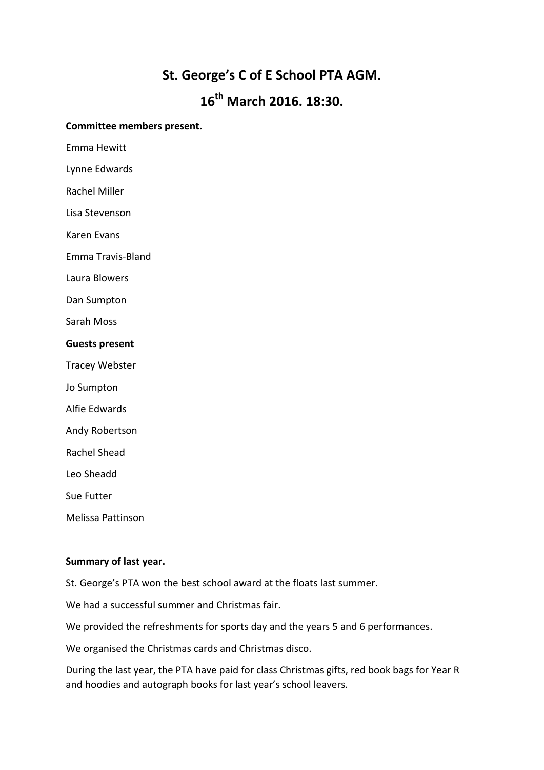# **St. George's C of E School PTA AGM.**

# **16th March 2016. 18:30.**

#### **Committee members present.**

Emma Hewitt

Lynne Edwards

Rachel Miller

Lisa Stevenson

Karen Evans

Emma Travis-Bland

Laura Blowers

Dan Sumpton

Sarah Moss

#### **Guests present**

Tracey Webster

- Jo Sumpton
- Alfie Edwards
- Andy Robertson
- Rachel Shead

Leo Sheadd

Sue Futter

Melissa Pattinson

#### **Summary of last year.**

St. George's PTA won the best school award at the floats last summer.

We had a successful summer and Christmas fair.

We provided the refreshments for sports day and the years 5 and 6 performances.

We organised the Christmas cards and Christmas disco.

During the last year, the PTA have paid for class Christmas gifts, red book bags for Year R and hoodies and autograph books for last year's school leavers.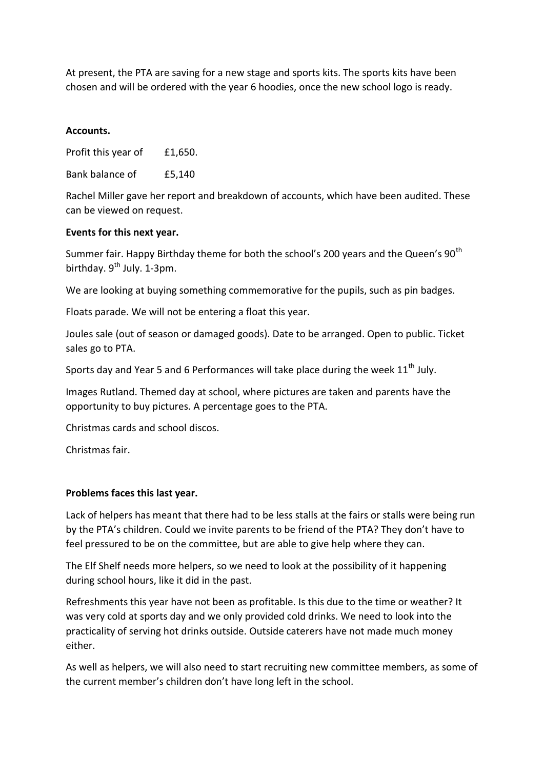At present, the PTA are saving for a new stage and sports kits. The sports kits have been chosen and will be ordered with the year 6 hoodies, once the new school logo is ready.

### **Accounts.**

Profit this year of £1,650.

Bank balance of £5,140

Rachel Miller gave her report and breakdown of accounts, which have been audited. These can be viewed on request.

#### **Events for this next year.**

Summer fair. Happy Birthday theme for both the school's 200 years and the Queen's 90<sup>th</sup> birthday.  $9^{th}$  July. 1-3pm.

We are looking at buying something commemorative for the pupils, such as pin badges.

Floats parade. We will not be entering a float this year.

Joules sale (out of season or damaged goods). Date to be arranged. Open to public. Ticket sales go to PTA.

Sports day and Year 5 and 6 Performances will take place during the week  $11<sup>th</sup>$  July.

Images Rutland. Themed day at school, where pictures are taken and parents have the opportunity to buy pictures. A percentage goes to the PTA.

Christmas cards and school discos.

Christmas fair.

#### **Problems faces this last year.**

Lack of helpers has meant that there had to be less stalls at the fairs or stalls were being run by the PTA's children. Could we invite parents to be friend of the PTA? They don't have to feel pressured to be on the committee, but are able to give help where they can.

The Elf Shelf needs more helpers, so we need to look at the possibility of it happening during school hours, like it did in the past.

Refreshments this year have not been as profitable. Is this due to the time or weather? It was very cold at sports day and we only provided cold drinks. We need to look into the practicality of serving hot drinks outside. Outside caterers have not made much money either.

As well as helpers, we will also need to start recruiting new committee members, as some of the current member's children don't have long left in the school.